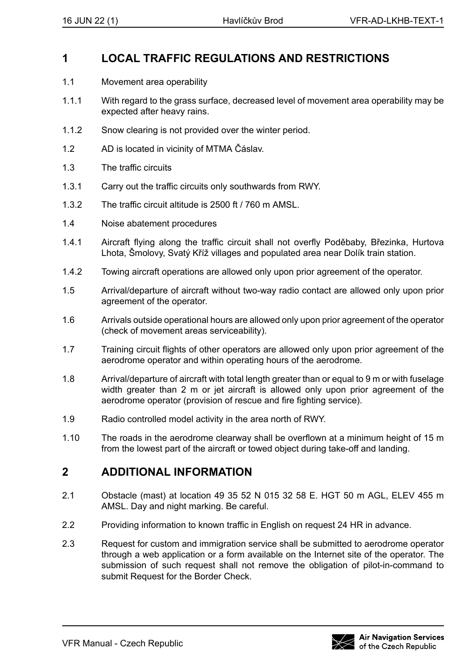## **1 LOCAL TRAFFIC REGULATIONS AND RESTRICTIONS**

- 1.1 Movement area operability
- 1.1.1 With regard to the grass surface, decreased level of movement area operability may be expected after heavy rains.
- 1.1.2 Snow clearing is not provided over the winter period.
- 1.2 AD is located in vicinity of MTMA Čáslav.
- 1.3 The traffic circuits
- 1.3.1 Carry out the traffic circuits only southwards from RWY.
- 1.3.2 The traffic circuit altitude is 2500 ft / 760 m AMSL.
- 1.4 Noise abatement procedures
- 1.4.1 Aircraft flying along the traffic circuit shall not overfly Poděbaby, Březinka, Hurtova Lhota, Šmolovy, Svatý Kříž villages and populated area near Dolík train station.
- 1.4.2 Towing aircraft operations are allowed only upon prior agreement of the operator.
- 1.5 Arrival/departure of aircraft without two-way radio contact are allowed only upon prior agreement of the operator.
- 1.6 Arrivals outside operational hours are allowed only upon prior agreement of the operator (check of movement areas serviceability).
- 1.7 Training circuit flights of other operators are allowed only upon prior agreement of the aerodrome operator and within operating hours of the aerodrome.
- 1.8 Arrival/departure of aircraft with total length greater than or equal to 9 m or with fuselage width greater than 2 m or jet aircraft is allowed only upon prior agreement of the aerodrome operator (provision of rescue and fire fighting service).
- 1.9 Radio controlled model activity in the area north of RWY.
- 1.10 The roads in the aerodrome clearway shall be overflown at a minimum height of 15 m from the lowest part of the aircraft or towed object during take-off and landing.

## **2 ADDITIONAL INFORMATION**

- 2.1 Obstacle (mast) at location 49 35 52 N 015 32 58 E. HGT 50 m AGL, ELEV 455 m AMSL. Day and night marking. Be careful.
- 2.2 Providing information to known traffic in English on request 24 HR in advance.
- 2.3 Request for custom and immigration service shall be submitted to aerodrome operator through a web application or a form available on the Internet site of the operator. The submission of such request shall not remove the obligation of pilot-in-command to submit Request for the Border Check.